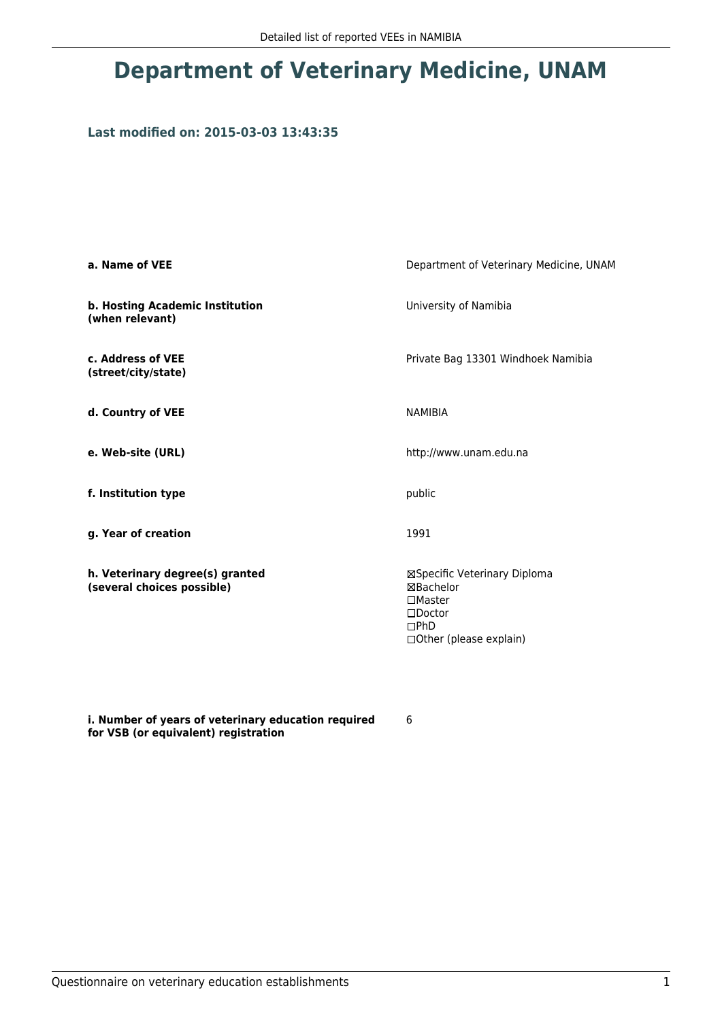## **Department of Veterinary Medicine, UNAM**

## **Last modified on: 2015-03-03 13:43:35**

| a. Name of VEE                                                | Department of Veterinary Medicine, UNAM                                                                                    |  |
|---------------------------------------------------------------|----------------------------------------------------------------------------------------------------------------------------|--|
| b. Hosting Academic Institution<br>(when relevant)            | University of Namibia                                                                                                      |  |
| c. Address of VEE<br>(street/city/state)                      | Private Bag 13301 Windhoek Namibia                                                                                         |  |
| d. Country of VEE                                             | <b>NAMIBIA</b>                                                                                                             |  |
| e. Web-site (URL)                                             | http://www.unam.edu.na                                                                                                     |  |
| f. Institution type                                           | public                                                                                                                     |  |
| g. Year of creation                                           | 1991                                                                                                                       |  |
| h. Veterinary degree(s) granted<br>(several choices possible) | ⊠Specific Veterinary Diploma<br>⊠Bachelor<br>$\square$ Master<br>$\square$ Doctor<br>DPhD<br>$\Box$ Other (please explain) |  |

**i. Number of years of veterinary education required for VSB (or equivalent) registration**

6